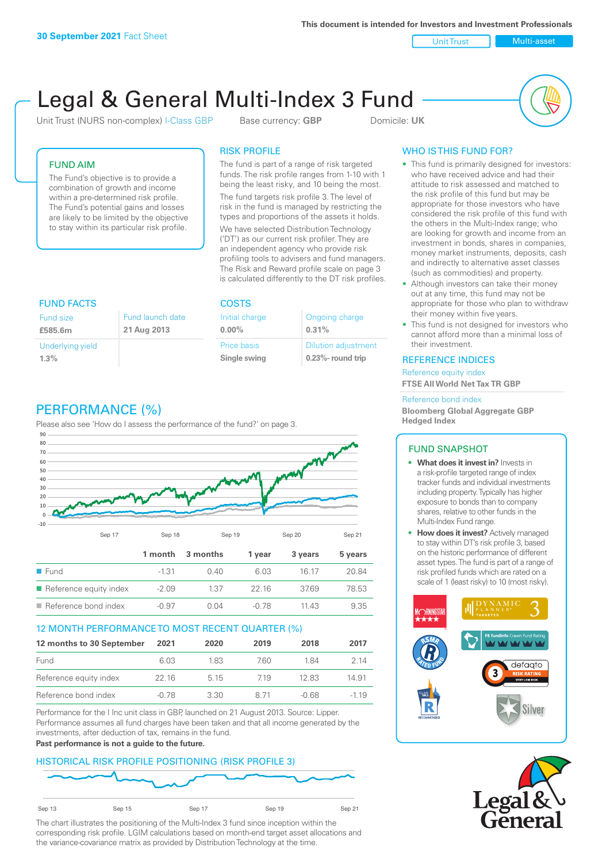**This document is intended for Investors and Investment Professionals**

Unit Trust Nulti-asset

# Legal & General Multi-Index 3 Fund

Unit Trust (NURS non-complex) I-Class GBP Base currency: **GBP** Domicile: UK



#### FUND AIM

The Fund's objective is to provide a combination of growth and income within a pre-determined risk profile. The Fund's potential gains and losses are likely to be limited by the objective to stay within its particular risk profile.

#### RISK PROFILE

The fund is part of a range of risk targeted funds. The risk profile ranges from 1-10 with 1 being the least risky, and 10 being the most.

The fund targets risk profile 3. The level of risk in the fund is managed by restricting the types and proportions of the assets it holds. We have selected Distribution Technology ('DT') as our current risk profiler. They are an independent agency who provide risk profiling tools to advisers and fund managers. The Risk and Reward profile scale on page 3 is calculated differently to the DT risk profiles.

| <b>FUND FACTS</b>                                              |  | <b>COSTS</b>                |                                                     |  |
|----------------------------------------------------------------|--|-----------------------------|-----------------------------------------------------|--|
| Fund launch date<br><b>Fund size</b><br>21 Aug 2013<br>£585.6m |  | Initial charge<br>$0.00\%$  | Ongoing charge<br>0.31%                             |  |
| Underlying yield<br>1.3%                                       |  | Price basis<br>Single swing | <b>Dilution adjustment</b><br>$0.23\%$ - round trip |  |

# PERFORMANCE (%)

Please also see 'How do I assess the performance of the fund?' on page 3.



#### 12 MONTH PERFORMANCE TO MOST RECENT QUARTER (%)

| 12 months to 30 September | 2021  | 2020  | 2019 | 2018  | 2017   |
|---------------------------|-------|-------|------|-------|--------|
| Fund                      | 6.03  | 183   | 760. | 184   | 2 14   |
| Reference equity index    | 22.16 | 5 1 5 | 719  | 12.83 | 14.91  |
| Reference bond index      | -0.78 | 3.30  | 8 71 | -0.68 | $-119$ |

Performance for the I Inc unit class in GBP, launched on 21 August 2013. Source: Lipper. Performance assumes all fund charges have been taken and that all income generated by the investments, after deduction of tax, remains in the fund.

#### **Past performance is not a guide to the future.**

#### HISTORICAL RISK PROFILE POSITIONING (RISK PROFILE 3)



The chart illustrates the positioning of the Multi-Index 3 fund since inception within the corresponding risk profile. LGIM calculations based on month-end target asset allocations and the variance-covariance matrix as provided by Distribution Technology at the time.

### WHO IS THIS FUND FOR?

- This fund is primarily designed for investors: who have received advice and had their attitude to risk assessed and matched to the risk profile of this fund but may be appropriate for those investors who have considered the risk profile of this fund with the others in the Multi-Index range; who are looking for growth and income from an investment in bonds, shares in companies, money market instruments, deposits, cash and indirectly to alternative asset classes (such as commodities) and property.
- Although investors can take their money out at any time, this fund may not be appropriate for those who plan to withdraw their money within five years.
- This fund is not designed for investors who cannot afford more than a minimal loss of their investment.

#### REFERENCE INDICES

Reference equity index **FTSE All World Net Tax TR GBP**

#### Reference bond index

**Bloomberg Global Aggregate GBP Hedged Index**

#### FUND SNAPSHOT

- **• What does it invest in?** Invests in a risk-profile targeted range of index tracker funds and individual investments including property. Typically has higher exposure to bonds than to company shares, relative to other funds in the Multi-Index Fund range.
- **• How does it invest?** Actively managed to stay within DT's risk profile 3, based on the historic performance of different asset types. The fund is part of a range of risk profiled funds which are rated on a scale of 1 (least risky) to 10 (most risky).



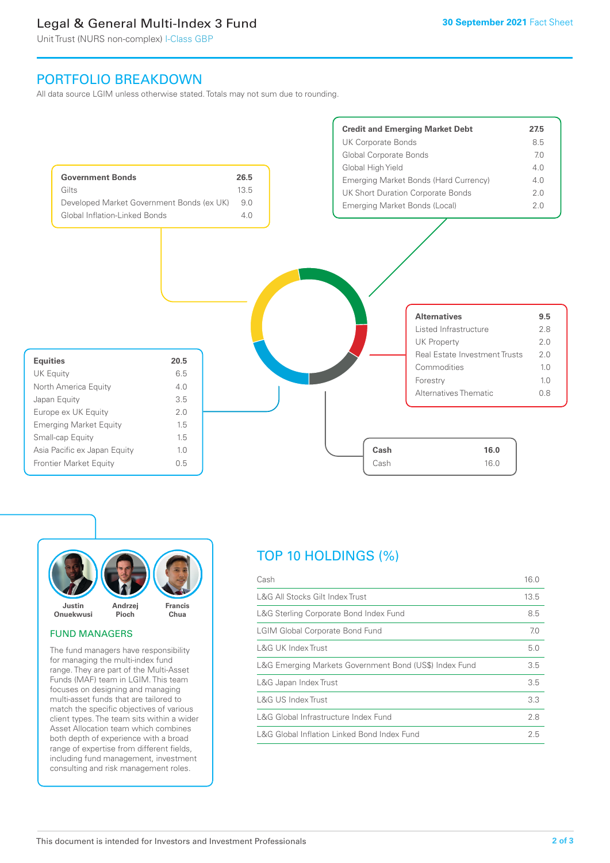## Legal & General Multi-Index 3 Fund

Unit Trust (NURS non-complex) I-Class GBP

## PORTFOLIO BREAKDOWN

All data source LGIM unless otherwise stated. Totals may not sum due to rounding.





#### FUND MANAGERS

The fund managers have responsibility for managing the multi-index fund range. They are part of the Multi-Asset Funds (MAF) team in LGIM. This team focuses on designing and managing multi-asset funds that are tailored to match the specific objectives of various client types. The team sits within a wider Asset Allocation team which combines both depth of experience with a broad range of expertise from different fields, including fund management, investment consulting and risk management roles.

# TOP 10 HOLDINGS (%)

| Cash                                                   | 16.0 |
|--------------------------------------------------------|------|
| L&G All Stocks Gilt Index Trust                        | 13.5 |
| L&G Sterling Corporate Bond Index Fund                 | 8.5  |
| <b>LGIM Global Corporate Bond Fund</b>                 | 7.0  |
| L&G UK Index Trust                                     | 5.0  |
| L&G Emerging Markets Government Bond (US\$) Index Fund | 3.5  |
| L&G Japan Index Trust                                  | 3.5  |
| L&G US Index Trust                                     | 3.3  |
| L&G Global Infrastructure Index Fund                   | 2.8  |
| L&G Global Inflation Linked Bond Index Fund            | 2.5  |